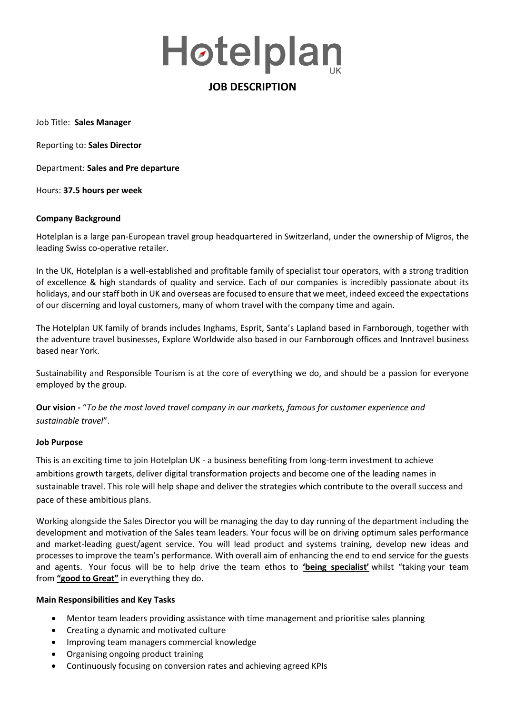# Høtelplan

## **JOB DESCRIPTION**

Job Title: **Sales Manager**

Reporting to: **Sales Director** 

Department: **Sales and Pre departure**

Hours: **37.5 hours per week**

#### **Company Background**

Hotelplan is a large pan-European travel group headquartered in Switzerland, under the ownership of Migros, the leading Swiss co-operative retailer.

In the UK, Hotelplan is a well-established and profitable family of specialist tour operators, with a strong tradition of excellence & high standards of quality and service. Each of our companies is incredibly passionate about its holidays, and our staff both in UK and overseas are focused to ensure that we meet, indeed exceed the expectations of our discerning and loyal customers, many of whom travel with the company time and again.

The Hotelplan UK family of brands includes Inghams, Esprit, Santa's Lapland based in Farnborough, together with the adventure travel businesses, Explore Worldwide also based in our Farnborough offices and Inntravel business based near York.

Sustainability and Responsible Tourism is at the core of everything we do, and should be a passion for everyone employed by the group.

**Our vision -** "*To be the most loved travel company in our markets, famous for customer experience and sustainable travel*".

#### **Job Purpose**

This is an exciting time to join Hotelplan UK - a business benefiting from long-term investment to achieve ambitions growth targets, deliver digital transformation projects and become one of the leading names in sustainable travel. This role will help shape and deliver the strategies which contribute to the overall success and pace of these ambitious plans.

Working alongside the Sales Director you will be managing the day to day running of the department including the development and motivation of the Sales team leaders. Your focus will be on driving optimum sales performance and market-leading guest/agent service. You will lead product and systems training, develop new ideas and processes to improve the team's performance. With overall aim of enhancing the end to end service for the guests and agents. Your focus will be to help drive the team ethos to **'being specialist'** whilst "taking your team from **"good to Great"** in everything they do.

#### **Main Responsibilities and Key Tasks**

- Mentor team leaders providing assistance with time management and prioritise sales planning
- Creating a dynamic and motivated culture
- Improving team managers commercial knowledge
- Organising ongoing product training
- Continuously focusing on conversion rates and achieving agreed KPIs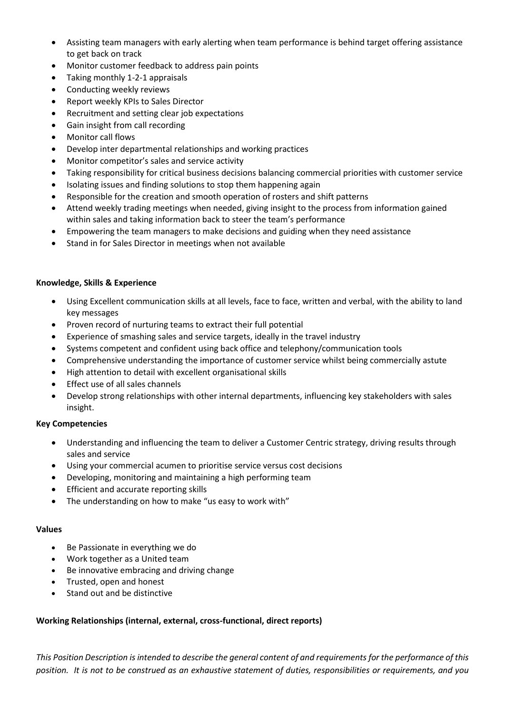- Assisting team managers with early alerting when team performance is behind target offering assistance to get back on track
- Monitor customer feedback to address pain points
- Taking monthly 1-2-1 appraisals
- Conducting weekly reviews
- Report weekly KPIs to Sales Director
- Recruitment and setting clear job expectations
- Gain insight from call recording
- Monitor call flows
- Develop inter departmental relationships and working practices
- Monitor competitor's sales and service activity
- Taking responsibility for critical business decisions balancing commercial priorities with customer service
- Isolating issues and finding solutions to stop them happening again
- Responsible for the creation and smooth operation of rosters and shift patterns
- Attend weekly trading meetings when needed, giving insight to the process from information gained within sales and taking information back to steer the team's performance
- Empowering the team managers to make decisions and guiding when they need assistance
- Stand in for Sales Director in meetings when not available

#### **Knowledge, Skills & Experience**

- Using Excellent communication skills at all levels, face to face, written and verbal, with the ability to land key messages
- Proven record of nurturing teams to extract their full potential
- Experience of smashing sales and service targets, ideally in the travel industry
- Systems competent and confident using back office and telephony/communication tools
- Comprehensive understanding the importance of customer service whilst being commercially astute
- High attention to detail with excellent organisational skills
- Effect use of all sales channels
- Develop strong relationships with other internal departments, influencing key stakeholders with sales insight.

#### **Key Competencies**

- Understanding and influencing the team to deliver a Customer Centric strategy, driving results through sales and service
- Using your commercial acumen to prioritise service versus cost decisions
- Developing, monitoring and maintaining a high performing team
- Efficient and accurate reporting skills
- The understanding on how to make "us easy to work with"

#### **Values**

- Be Passionate in everything we do
- Work together as a United team
- Be innovative embracing and driving change
- Trusted, open and honest
- Stand out and be distinctive

### **Working Relationships (internal, external, cross-functional, direct reports)**

*This Position Description is intended to describe the general content of and requirements for the performance of this position. It is not to be construed as an exhaustive statement of duties, responsibilities or requirements, and you*